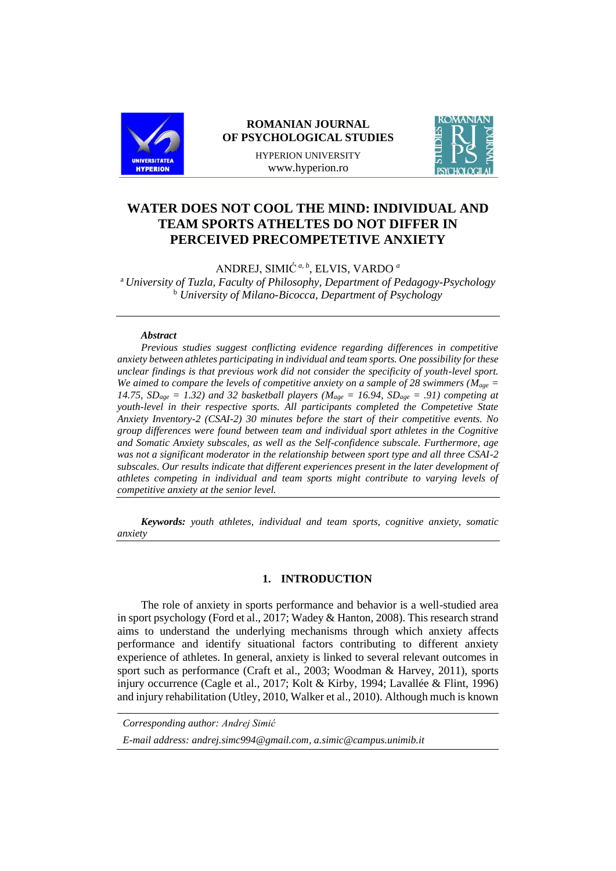

# **ROMANIAN JOURNAL OF PSYCHOLOGICAL STUDIES**

HYPERION UNIVERSITY www.hyperion.ro



# **WATER DOES NOT COOL THE MIND: INDIVIDUAL AND TEAM SPORTS ATHELTES DO NOT DIFFER IN PERCEIVED PRECOMPETETIVE ANXIETY**

ANDREJ, SIMIĆ*a, b*, ELVIS, VARDO *<sup>a</sup>*

<sup>a</sup> *University of Tuzla, Faculty of Philosophy, Department of Pedagogy-Psychology* <sup>b</sup> *University of Milano-Bicocca, Department of Psychology*

#### *Abstract*

*Previous studies suggest conflicting evidence regarding differences in competitive anxiety between athletes participating in individual and team sports. One possibility for these unclear findings is that previous work did not consider the specificity of youth-level sport. We aimed to compare the levels of competitive anxiety on a sample of 28 swimmers (* $M_{\text{age}} =$ *14.75,*  $SD_{age} = 1.32$ *) and 32 basketball players (* $M_{age} = 16.94$ *,*  $SD_{age} = .91$ *) competing at youth-level in their respective sports. All participants completed the Competetive State Anxiety Inventory-2 (CSAI-2) 30 minutes before the start of their competitive events. No group differences were found between team and individual sport athletes in the Cognitive and Somatic Anxiety subscales, as well as the Self-confidence subscale. Furthermore, age was not a significant moderator in the relationship between sport type and all three CSAI-2 subscales. Our results indicate that different experiences present in the later development of athletes competing in individual and team sports might contribute to varying levels of competitive anxiety at the senior level.*

*Keywords: youth athletes, individual and team sports, cognitive anxiety, somatic anxiety*

## **1. INTRODUCTION**

The role of anxiety in sports performance and behavior is a well-studied area in sport psychology (Ford et al., 2017; Wadey & Hanton, 2008). This research strand aims to understand the underlying mechanisms through which anxiety affects performance and identify situational factors contributing to different anxiety experience of athletes. In general, anxiety is linked to several relevant outcomes in sport such as performance (Craft et al., 2003; Woodman & Harvey, 2011), sports injury occurrence (Cagle et al., 2017; Kolt & Kirby, 1994; Lavallée & Flint, 1996) and injury rehabilitation (Utley, 2010, Walker et al., 2010). Although much is known

*Corresponding author: Andrej Simić*

*E-mail address: [andrej.simc994@gmail.com,](mailto:andrej.simc994@gmail.com) [a.simic@campus.unimib.it](mailto:a.simic@campus.unimib.it)*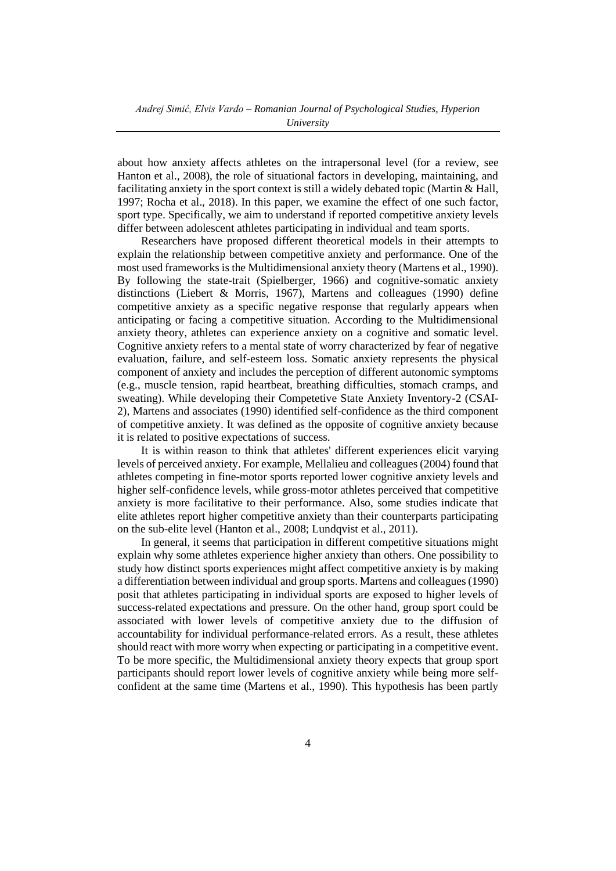about how anxiety affects athletes on the intrapersonal level (for a review, see Hanton et al., 2008), the role of situational factors in developing, maintaining, and facilitating anxiety in the sport context is still a widely debated topic (Martin & Hall, 1997; Rocha et al., 2018). In this paper, we examine the effect of one such factor, sport type. Specifically, we aim to understand if reported competitive anxiety levels differ between adolescent athletes participating in individual and team sports.

Researchers have proposed different theoretical models in their attempts to explain the relationship between competitive anxiety and performance. One of the most used frameworks is the Multidimensional anxiety theory (Martens et al., 1990). By following the state-trait (Spielberger, 1966) and cognitive-somatic anxiety distinctions (Liebert & Morris, 1967), Martens and colleagues (1990) define competitive anxiety as a specific negative response that regularly appears when anticipating or facing a competitive situation. According to the Multidimensional anxiety theory, athletes can experience anxiety on a cognitive and somatic level. Cognitive anxiety refers to a mental state of worry characterized by fear of negative evaluation, failure, and self-esteem loss. Somatic anxiety represents the physical component of anxiety and includes the perception of different autonomic symptoms (e.g., muscle tension, rapid heartbeat, breathing difficulties, stomach cramps, and sweating). While developing their Competetive State Anxiety Inventory-2 (CSAI-2), Martens and associates (1990) identified self-confidence as the third component of competitive anxiety. It was defined as the opposite of cognitive anxiety because it is related to positive expectations of success.

It is within reason to think that athletes' different experiences elicit varying levels of perceived anxiety. For example, Mellalieu and colleagues (2004) found that athletes competing in fine-motor sports reported lower cognitive anxiety levels and higher self-confidence levels, while gross-motor athletes perceived that competitive anxiety is more facilitative to their performance. Also, some studies indicate that elite athletes report higher competitive anxiety than their counterparts participating on the sub-elite level (Hanton et al., 2008; Lundqvist et al., 2011).

In general, it seems that participation in different competitive situations might explain why some athletes experience higher anxiety than others. One possibility to study how distinct sports experiences might affect competitive anxiety is by making a differentiation between individual and group sports. Martens and colleagues (1990) posit that athletes participating in individual sports are exposed to higher levels of success-related expectations and pressure. On the other hand, group sport could be associated with lower levels of competitive anxiety due to the diffusion of accountability for individual performance-related errors. As a result, these athletes should react with more worry when expecting or participating in a competitive event. To be more specific, the Multidimensional anxiety theory expects that group sport participants should report lower levels of cognitive anxiety while being more selfconfident at the same time (Martens et al., 1990). This hypothesis has been partly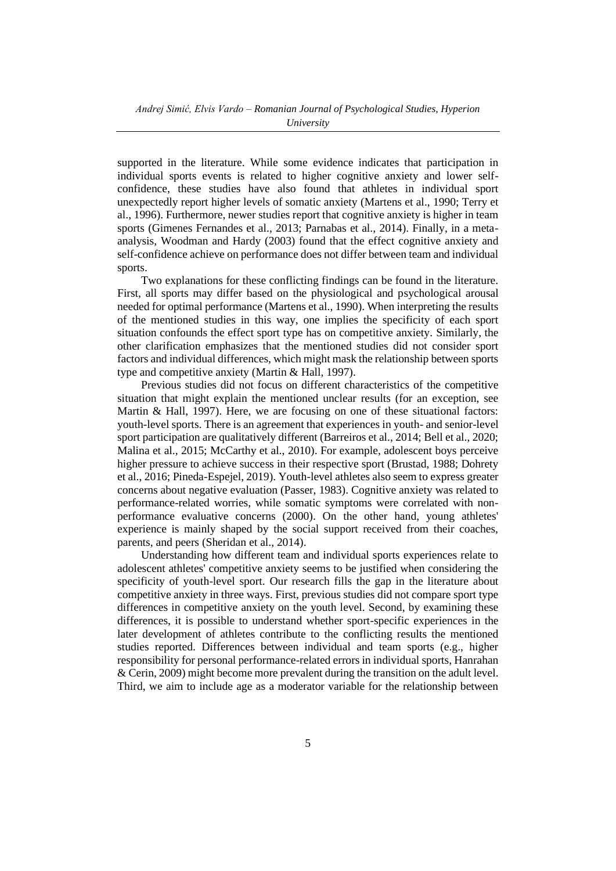supported in the literature. While some evidence indicates that participation in individual sports events is related to higher cognitive anxiety and lower selfconfidence, these studies have also found that athletes in individual sport unexpectedly report higher levels of somatic anxiety (Martens et al., 1990; Terry et al., 1996). Furthermore, newer studies report that cognitive anxiety is higher in team sports (Gimenes Fernandes et al., 2013; Parnabas et al., 2014). Finally, in a metaanalysis, Woodman and Hardy (2003) found that the effect cognitive anxiety and self-confidence achieve on performance does not differ between team and individual sports.

Two explanations for these conflicting findings can be found in the literature. First, all sports may differ based on the physiological and psychological arousal needed for optimal performance (Martens et al., 1990). When interpreting the results of the mentioned studies in this way, one implies the specificity of each sport situation confounds the effect sport type has on competitive anxiety. Similarly, the other clarification emphasizes that the mentioned studies did not consider sport factors and individual differences, which might mask the relationship between sports type and competitive anxiety (Martin & Hall, 1997).

Previous studies did not focus on different characteristics of the competitive situation that might explain the mentioned unclear results (for an exception, see Martin & Hall, 1997). Here, we are focusing on one of these situational factors: youth-level sports. There is an agreement that experiences in youth- and senior-level sport participation are qualitatively different (Barreiros et al., 2014; Bell et al., 2020; Malina et al., 2015; McCarthy et al., 2010). For example, adolescent boys perceive higher pressure to achieve success in their respective sport (Brustad, 1988; Dohrety et al., 2016; Pineda-Espejel, 2019). Youth-level athletes also seem to express greater concerns about negative evaluation (Passer, 1983). Cognitive anxiety was related to performance-related worries, while somatic symptoms were correlated with nonperformance evaluative concerns (2000). On the other hand, young athletes' experience is mainly shaped by the social support received from their coaches, parents, and peers (Sheridan et al., 2014).

Understanding how different team and individual sports experiences relate to adolescent athletes' competitive anxiety seems to be justified when considering the specificity of youth-level sport. Our research fills the gap in the literature about competitive anxiety in three ways. First, previous studies did not compare sport type differences in competitive anxiety on the youth level. Second, by examining these differences, it is possible to understand whether sport-specific experiences in the later development of athletes contribute to the conflicting results the mentioned studies reported. Differences between individual and team sports (e.g., higher responsibility for personal performance-related errors in individual sports, Hanrahan & Cerin, 2009) might become more prevalent during the transition on the adult level. Third, we aim to include age as a moderator variable for the relationship between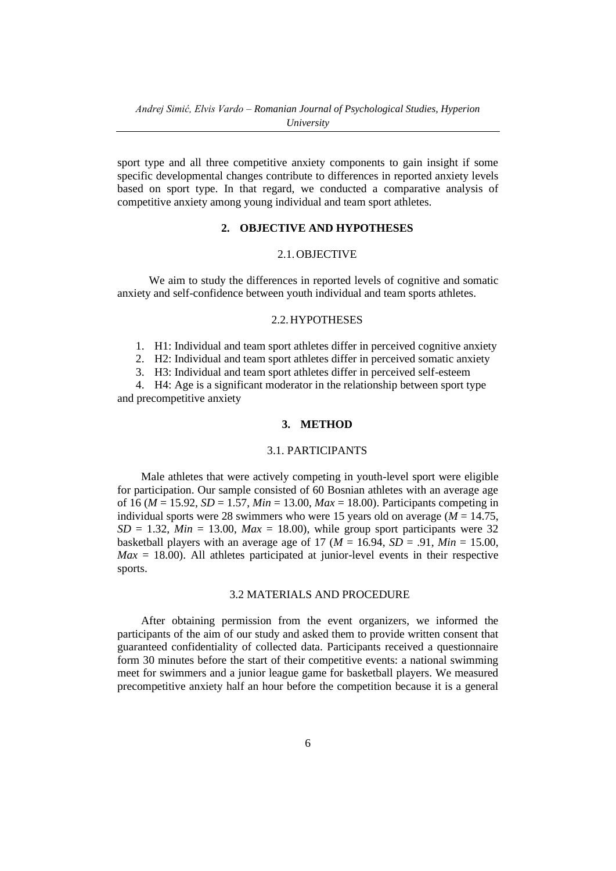sport type and all three competitive anxiety components to gain insight if some specific developmental changes contribute to differences in reported anxiety levels based on sport type. In that regard, we conducted a comparative analysis of competitive anxiety among young individual and team sport athletes.

# **2. OBJECTIVE AND HYPOTHESES**

### 2.1.OBJECTIVE

We aim to study the differences in reported levels of cognitive and somatic anxiety and self-confidence between youth individual and team sports athletes.

#### 2.2.HYPOTHESES

1. H1: Individual and team sport athletes differ in perceived cognitive anxiety

2. H2: Individual and team sport athletes differ in perceived somatic anxiety

3. H3: Individual and team sport athletes differ in perceived self-esteem

4. H4: Age is a significant moderator in the relationship between sport type and precompetitive anxiety

# **3. METHOD**

## 3.1. PARTICIPANTS

Male athletes that were actively competing in youth-level sport were eligible for participation. Our sample consisted of 60 Bosnian athletes with an average age of 16 (*M* = 15.92, *SD* = 1.57, *Min* = 13.00, *Max* = 18.00). Participants competing in individual sports were 28 swimmers who were 15 years old on average ( $M = 14.75$ ,  $SD = 1.32$ ,  $Min = 13.00$ ,  $Max = 18.00$ ), while group sport participants were 32 basketball players with an average age of 17 ( $M = 16.94$ ,  $SD = .91$ ,  $Min = 15.00$ ,  $Max = 18.00$ ). All athletes participated at junior-level events in their respective sports.

# 3.2 MATERIALS AND PROCEDURE

After obtaining permission from the event organizers, we informed the participants of the aim of our study and asked them to provide written consent that guaranteed confidentiality of collected data. Participants received a questionnaire form 30 minutes before the start of their competitive events: a national swimming meet for swimmers and a junior league game for basketball players. We measured precompetitive anxiety half an hour before the competition because it is a general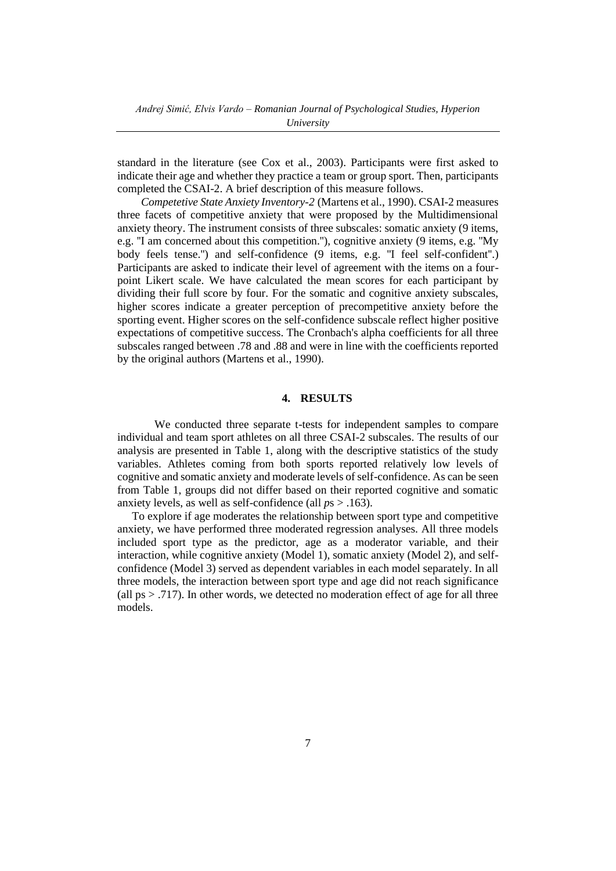standard in the literature (see Cox et al., 2003). Participants were first asked to indicate their age and whether they practice a team or group sport. Then, participants completed the CSAI-2. A brief description of this measure follows.

*Competetive State Anxiety Inventory-2* (Martens et al., 1990). CSAI-2 measures three facets of competitive anxiety that were proposed by the Multidimensional anxiety theory. The instrument consists of three subscales: somatic anxiety (9 items, e.g. ''I am concerned about this competition.''), cognitive anxiety (9 items, e.g. ''My body feels tense.") and self-confidence (9 items, e.g. "I feel self-confident".) Participants are asked to indicate their level of agreement with the items on a fourpoint Likert scale. We have calculated the mean scores for each participant by dividing their full score by four. For the somatic and cognitive anxiety subscales, higher scores indicate a greater perception of precompetitive anxiety before the sporting event. Higher scores on the self-confidence subscale reflect higher positive expectations of competitive success. The Cronbach's alpha coefficients for all three subscales ranged between .78 and .88 and were in line with the coefficients reported by the original authors (Martens et al., 1990).

### **4. RESULTS**

We conducted three separate t-tests for independent samples to compare individual and team sport athletes on all three CSAI-2 subscales. The results of our analysis are presented in Table 1, along with the descriptive statistics of the study variables. Athletes coming from both sports reported relatively low levels of cognitive and somatic anxiety and moderate levels of self-confidence. As can be seen from Table 1, groups did not differ based on their reported cognitive and somatic anxiety levels, as well as self-confidence (all *p*s > .163).

To explore if age moderates the relationship between sport type and competitive anxiety, we have performed three moderated regression analyses. All three models included sport type as the predictor, age as a moderator variable, and their interaction, while cognitive anxiety (Model 1), somatic anxiety (Model 2), and selfconfidence (Model 3) served as dependent variables in each model separately. In all three models, the interaction between sport type and age did not reach significance (all  $ps > .717$ ). In other words, we detected no moderation effect of age for all three models.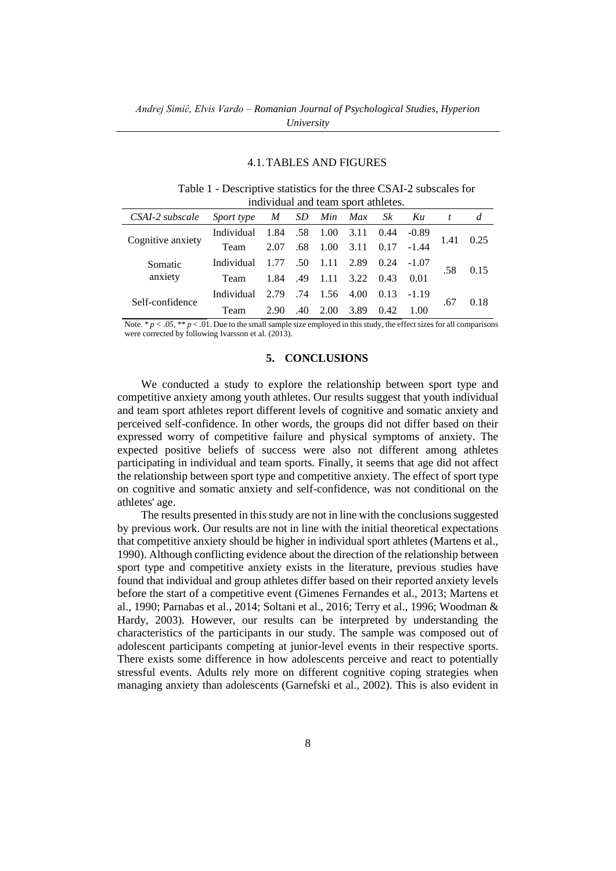### 4.1.TABLES AND FIGURES

| Table 1 - Descriptive statistics for the three CSAI-2 subscales for |
|---------------------------------------------------------------------|
| individual and team sport athletes.                                 |

| CSAI-2 subscale    | Sport type | M    | SD. |      | Min Max | Sk   | Ku      | t    | d    |
|--------------------|------------|------|-----|------|---------|------|---------|------|------|
| Cognitive anxiety  | Individual | 1.84 | .58 | 1.00 | 3.11    | 0.44 | $-0.89$ | 1.41 | 0.25 |
|                    | Team       | 2.07 | .68 | 1.00 | 3.11    | 0.17 | $-1.44$ |      |      |
| Somatic<br>anxiety | Individual |      | .50 | 1.11 | 2.89    | 0.24 | $-1.07$ | .58  | 0.15 |
|                    | Team       | 1.84 | .49 | 1.11 | 3.22    | 0.43 | 0.01    |      |      |
| Self-confidence    | Individual | 2.79 | .74 | 1.56 | 4.00    | 0.13 | $-1.19$ | .67  | 0.18 |
|                    | Team       | 2.90 | .40 | 2.00 | 3.89    | 0.42 | 1.00    |      |      |

Note.  $* p < .05$ ,  $* p < .01$ . Due to the small sample size employed in this study, the effect sizes for all comparisons were corrected by following Ivarsson et al. (2013).

## **5. CONCLUSIONS**

We conducted a study to explore the relationship between sport type and competitive anxiety among youth athletes. Our results suggest that youth individual and team sport athletes report different levels of cognitive and somatic anxiety and perceived self-confidence. In other words, the groups did not differ based on their expressed worry of competitive failure and physical symptoms of anxiety. The expected positive beliefs of success were also not different among athletes participating in individual and team sports. Finally, it seems that age did not affect the relationship between sport type and competitive anxiety. The effect of sport type on cognitive and somatic anxiety and self-confidence, was not conditional on the athletes' age.

The results presented in this study are not in line with the conclusions suggested by previous work. Our results are not in line with the initial theoretical expectations that competitive anxiety should be higher in individual sport athletes (Martens et al., 1990). Although conflicting evidence about the direction of the relationship between sport type and competitive anxiety exists in the literature, previous studies have found that individual and group athletes differ based on their reported anxiety levels before the start of a competitive event (Gimenes Fernandes et al., 2013; Martens et al., 1990; Parnabas et al., 2014; Soltani et al., 2016; Terry et al., 1996; Woodman & Hardy, 2003). However, our results can be interpreted by understanding the characteristics of the participants in our study. The sample was composed out of adolescent participants competing at junior-level events in their respective sports. There exists some difference in how adolescents perceive and react to potentially stressful events. Adults rely more on different cognitive coping strategies when managing anxiety than adolescents (Garnefski et al., 2002). This is also evident in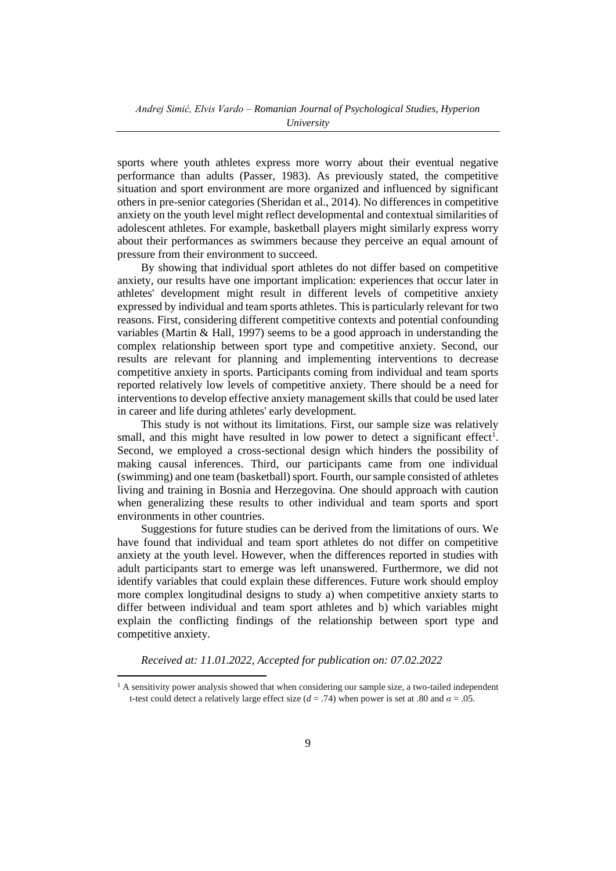sports where youth athletes express more worry about their eventual negative performance than adults (Passer, 1983). As previously stated, the competitive situation and sport environment are more organized and influenced by significant others in pre-senior categories (Sheridan et al., 2014). No differences in competitive anxiety on the youth level might reflect developmental and contextual similarities of adolescent athletes. For example, basketball players might similarly express worry about their performances as swimmers because they perceive an equal amount of pressure from their environment to succeed.

By showing that individual sport athletes do not differ based on competitive anxiety, our results have one important implication: experiences that occur later in athletes' development might result in different levels of competitive anxiety expressed by individual and team sports athletes. This is particularly relevant for two reasons. First, considering different competitive contexts and potential confounding variables (Martin & Hall, 1997) seems to be a good approach in understanding the complex relationship between sport type and competitive anxiety. Second, our results are relevant for planning and implementing interventions to decrease competitive anxiety in sports. Participants coming from individual and team sports reported relatively low levels of competitive anxiety. There should be a need for interventions to develop effective anxiety management skills that could be used later in career and life during athletes' early development.

This study is not without its limitations. First, our sample size was relatively small, and this might have resulted in low power to detect a significant effect<sup>1</sup>. Second, we employed a cross-sectional design which hinders the possibility of making causal inferences. Third, our participants came from one individual (swimming) and one team (basketball) sport. Fourth, our sample consisted of athletes living and training in Bosnia and Herzegovina. One should approach with caution when generalizing these results to other individual and team sports and sport environments in other countries.

Suggestions for future studies can be derived from the limitations of ours. We have found that individual and team sport athletes do not differ on competitive anxiety at the youth level. However, when the differences reported in studies with adult participants start to emerge was left unanswered. Furthermore, we did not identify variables that could explain these differences. Future work should employ more complex longitudinal designs to study a) when competitive anxiety starts to differ between individual and team sport athletes and b) which variables might explain the conflicting findings of the relationship between sport type and competitive anxiety.

*Received at: 11.01.2022, Accepted for publication on: 07.02.2022*

<sup>&</sup>lt;sup>1</sup> A sensitivity power analysis showed that when considering our sample size, a two-tailed independent t-test could detect a relatively large effect size ( $d = .74$ ) when power is set at .80 and  $\alpha = .05$ .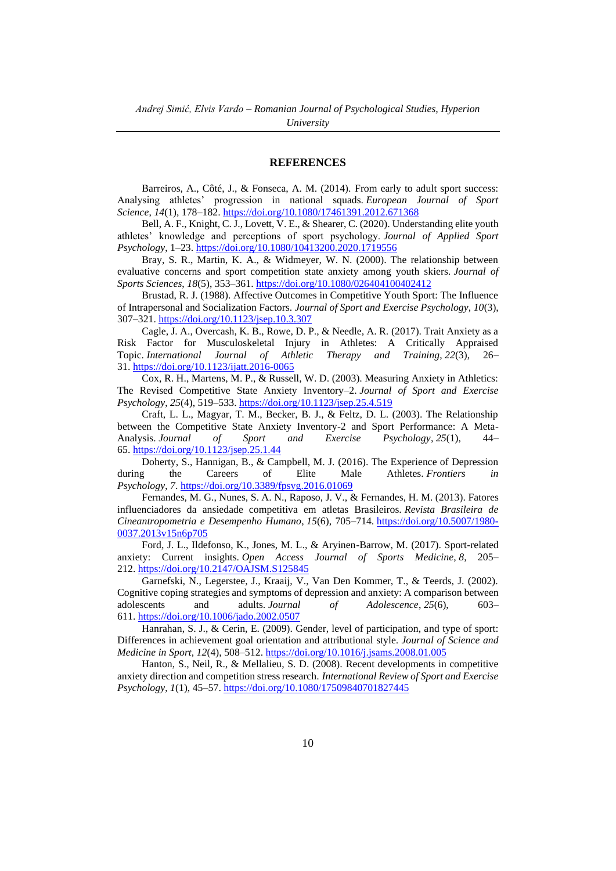### **REFERENCES**

Barreiros, A., Côté, J., & Fonseca, A. M. (2014). From early to adult sport success: Analysing athletes' progression in national squads. *European Journal of Sport Science*, *14*(1), 178–182. <https://doi.org/10.1080/17461391.2012.671368>

Bell, A. F., Knight, C. J., Lovett, V. E., & Shearer, C. (2020). Understanding elite youth athletes' knowledge and perceptions of sport psychology. *Journal of Applied Sport Psychology*, 1–23. <https://doi.org/10.1080/10413200.2020.1719556>

Bray, S. R., Martin, K. A., & Widmeyer, W. N. (2000). The relationship between evaluative concerns and sport competition state anxiety among youth skiers. *Journal of Sports Sciences*, *18*(5), 353–361. <https://doi.org/10.1080/026404100402412>

Brustad, R. J. (1988). Affective Outcomes in Competitive Youth Sport: The Influence of Intrapersonal and Socialization Factors. *Journal of Sport and Exercise Psychology*, *10*(3), 307–321. <https://doi.org/10.1123/jsep.10.3.307>

Cagle, J. A., Overcash, K. B., Rowe, D. P., & Needle, A. R. (2017). Trait Anxiety as a Risk Factor for Musculoskeletal Injury in Athletes: A Critically Appraised Topic. *International Journal of Athletic Therapy and Training*, *22*(3), 26– 31. <https://doi.org/10.1123/ijatt.2016-0065>

Cox, R. H., Martens, M. P., & Russell, W. D. (2003). Measuring Anxiety in Athletics: The Revised Competitive State Anxiety Inventory–2. *Journal of Sport and Exercise Psychology*, *25*(4), 519–533. <https://doi.org/10.1123/jsep.25.4.519>

Craft, L. L., Magyar, T. M., Becker, B. J., & Feltz, D. L. (2003). The Relationship between the Competitive State Anxiety Inventory-2 and Sport Performance: A Meta-Analysis. *Journal of Sport and Exercise Psychology*, *25*(1), 44– 65. <https://doi.org/10.1123/jsep.25.1.44>

Doherty, S., Hannigan, B., & Campbell, M. J. (2016). The Experience of Depression during the Careers of Elite Male Athletes. *Frontiers in Psychology*, *7*. <https://doi.org/10.3389/fpsyg.2016.01069>

Fernandes, M. G., Nunes, S. A. N., Raposo, J. V., & Fernandes, H. M. (2013). Fatores influenciadores da ansiedade competitiva em atletas Brasileiros. *Revista Brasileira de Cineantropometria e Desempenho Humano*, *15*(6), 705–714. [https://doi.org/10.5007/1980-](https://doi.org/10.5007/1980-0037.2013v15n6p705) [0037.2013v15n6p705](https://doi.org/10.5007/1980-0037.2013v15n6p705)

Ford, J. L., Ildefonso, K., Jones, M. L., & Aryinen-Barrow, M. (2017). Sport-related anxiety: Current insights. *Open Access Journal of Sports Medicine*, *8*, 205– 212. <https://doi.org/10.2147/OAJSM.S125845>

Garnefski, N., Legerstee, J., Kraaij, V., Van Den Kommer, T., & Teerds, J. (2002). Cognitive coping strategies and symptoms of depression and anxiety: A comparison between adolescents and adults. *Journal of Adolescence*, *25*(6), 603– 611. <https://doi.org/10.1006/jado.2002.0507>

Hanrahan, S. J., & Cerin, E. (2009). Gender, level of participation, and type of sport: Differences in achievement goal orientation and attributional style. *Journal of Science and Medicine in Sport*, *12*(4), 508–512. <https://doi.org/10.1016/j.jsams.2008.01.005>

Hanton, S., Neil, R., & Mellalieu, S. D. (2008). Recent developments in competitive anxiety direction and competition stress research. *International Review of Sport and Exercise Psychology*, *1*(1), 45–57. <https://doi.org/10.1080/17509840701827445>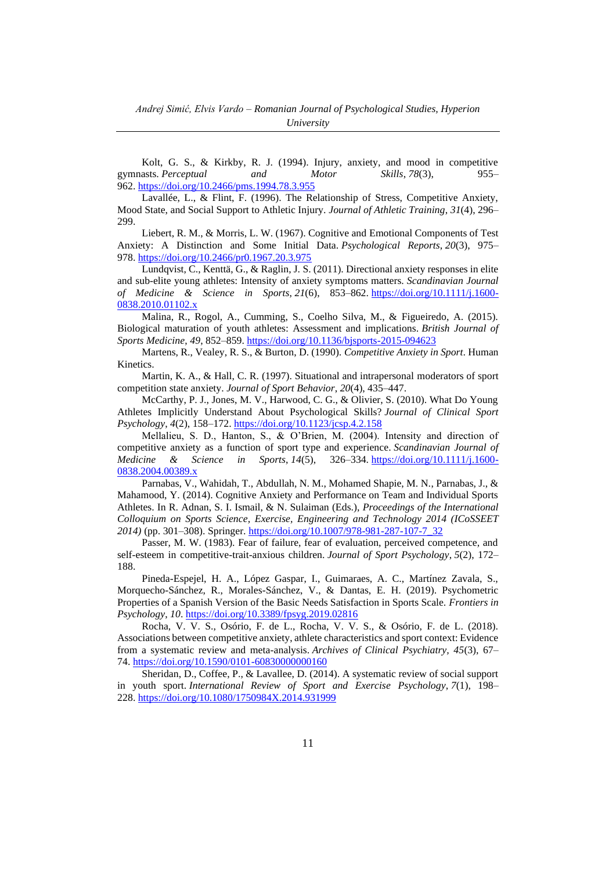Kolt, G. S., & Kirkby, R. J. (1994). Injury, anxiety, and mood in competitive gymnasts. *Perceptual and Motor Skills*, *78*(3), 955– 962. <https://doi.org/10.2466/pms.1994.78.3.955>

Lavallée, L., & Flint, F. (1996). The Relationship of Stress, Competitive Anxiety, Mood State, and Social Support to Athletic Injury. *Journal of Athletic Training*, *31*(4), 296– 299.

Liebert, R. M., & Morris, L. W. (1967). Cognitive and Emotional Components of Test Anxiety: A Distinction and Some Initial Data. *Psychological Reports*, *20*(3), 975– 978. <https://doi.org/10.2466/pr0.1967.20.3.975>

Lundqvist, C., Kenttä, G., & Raglin, J. S. (2011). Directional anxiety responses in elite and sub-elite young athletes: Intensity of anxiety symptoms matters. *Scandinavian Journal of Medicine & Science in Sports*, *21*(6), 853–862. [https://doi.org/10.1111/j.1600-](https://doi.org/10.1111/j.1600-0838.2010.01102.x) [0838.2010.01102.x](https://doi.org/10.1111/j.1600-0838.2010.01102.x)

Malina, R., Rogol, A., Cumming, S., Coelho Silva, M., & Figueiredo, A. (2015). Biological maturation of youth athletes: Assessment and implications. *British Journal of Sports Medicine*, *49*, 852–859. <https://doi.org/10.1136/bjsports-2015-094623>

Martens, R., Vealey, R. S., & Burton, D. (1990). *Competitive Anxiety in Sport*. Human Kinetics.

Martin, K. A., & Hall, C. R. (1997). Situational and intrapersonal moderators of sport competition state anxiety. *Journal of Sport Behavior*, *20*(4), 435–447.

McCarthy, P. J., Jones, M. V., Harwood, C. G., & Olivier, S. (2010). What Do Young Athletes Implicitly Understand About Psychological Skills? *Journal of Clinical Sport Psychology*, *4*(2), 158–172. <https://doi.org/10.1123/jcsp.4.2.158>

Mellalieu, S. D., Hanton, S., & O'Brien, M. (2004). Intensity and direction of competitive anxiety as a function of sport type and experience. *Scandinavian Journal of Medicine & Science in Sports*, *14*(5), 326–334. [https://doi.org/10.1111/j.1600-](https://doi.org/10.1111/j.1600-0838.2004.00389.x) [0838.2004.00389.x](https://doi.org/10.1111/j.1600-0838.2004.00389.x)

Parnabas, V., Wahidah, T., Abdullah, N. M., Mohamed Shapie, M. N., Parnabas, J., & Mahamood, Y. (2014). Cognitive Anxiety and Performance on Team and Individual Sports Athletes. In R. Adnan, S. I. Ismail, & N. Sulaiman (Eds.), *Proceedings of the International Colloquium on Sports Science, Exercise, Engineering and Technology 2014 (ICoSSEET 2014)* (pp. 301–308). Springer. [https://doi.org/10.1007/978-981-287-107-7\\_32](https://doi.org/10.1007/978-981-287-107-7_32)

Passer, M. W. (1983). Fear of failure, fear of evaluation, perceived competence, and self-esteem in competitive-trait-anxious children. *Journal of Sport Psychology*, *5*(2), 172– 188.

Pineda-Espejel, H. A., López Gaspar, I., Guimaraes, A. C., Martínez Zavala, S., Morquecho-Sánchez, R., Morales-Sánchez, V., & Dantas, E. H. (2019). Psychometric Properties of a Spanish Version of the Basic Needs Satisfaction in Sports Scale. *Frontiers in Psychology*, *10*. <https://doi.org/10.3389/fpsyg.2019.02816>

Rocha, V. V. S., Osório, F. de L., Rocha, V. V. S., & Osório, F. de L. (2018). Associations between competitive anxiety, athlete characteristics and sport context: Evidence from a systematic review and meta-analysis. *Archives of Clinical Psychiatry, 45*(3), 67– 74. <https://doi.org/10.1590/0101-60830000000160>

Sheridan, D., Coffee, P., & Lavallee, D. (2014). A systematic review of social support in youth sport. *International Review of Sport and Exercise Psychology*, *7*(1), 198– 228. <https://doi.org/10.1080/1750984X.2014.931999>